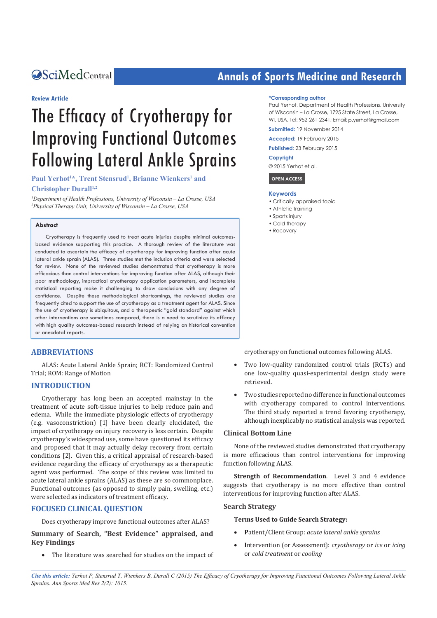#### **Review Article**

# The Efficacy of Cryotherapy for Improving Functional Outcomes Following Lateral Ankle Sprains

Paul Yerhot<sup>1\*</sup>, Trent Stensrud<sup>1</sup>, Brianne Wienkers<sup>1</sup> and

#### **Christopher Durall**<sup>1,2</sup>

*1 Department of Health Professions, University of Wisconsin – La Crosse, USA 2 Physical Therapy Unit, University of Wisconsin – La Crosse, USA*

#### **Abstract**

Cryotherapy is frequently used to treat acute injuries despite minimal outcomesbased evidence supporting this practice. A thorough review of the literature was conducted to ascertain the efficacy of cryotherapy for improving function after acute lateral ankle sprain (ALAS). Three studies met the inclusion criteria and were selected for review. None of the reviewed studies demonstrated that cryotherapy is more efficacious than control interventions for improving function after ALAS, although their poor methodology, impractical cryotherapy application parameters, and incomplete statistical reporting make it challenging to draw conclusions with any degree of confidence. Despite these methodological shortcomings, the reviewed studies are frequently cited to support the use of cryotherapy as a treatment agent for ALAS. Since the use of cryotherapy is ubiquitous, and a therapeutic "gold standard" against which other interventions are sometimes compared, there is a need to scrutinize its efficacy with high quality outcomes-based research instead of relying on historical convention or anecdotal reports.

#### **ABBREVIATIONS**

ALAS: Acute Lateral Ankle Sprain; RCT: Randomized Control Trial; ROM: Range of Motion

#### **INTRODUCTION**

Cryotherapy has long been an accepted mainstay in the treatment of acute soft-tissue injuries to help reduce pain and edema. While the immediate physiologic effects of cryotherapy (e.g. vasoconstriction) [1] have been clearly elucidated, the impact of cryotherapy on injury recovery is less certain. Despite cryotherapy's widespread use, some have questioned its efficacy and proposed that it may actually delay recovery from certain conditions [2]. Given this, a critical appraisal of research-based evidence regarding the efficacy of cryotherapy as a therapeutic agent was performed. The scope of this review was limited to acute lateral ankle sprains (ALAS) as these are so commonplace. Functional outcomes (as opposed to simply pain, swelling, etc.) were selected as indicators of treatment efficacy.

#### **FOCUSED CLINICAL QUESTION**

Does cryotherapy improve functional outcomes after ALAS?

#### **Summary of Search, "Best Evidence" appraised, and Key Findings**

• The literature was searched for studies on the impact of

## **CALCED Annals of Sports Medicine and Research Annals of Sports Medicine and Research**

#### **\*Corresponding author**

Paul Yerhot, Department of Health Professions, University of Wisconsin – La Crosse, 1725 State Street, La Crosse, WI, USA, Tel: 952-261-2341; Email: p.yerhot@amail.com

**Submitted:** 19 November 2014

**Accepted:** 19 February 2015

**Published:** 23 February 2015

#### **Copyright**

© 2015 Yerhot et al.

 **OPEN ACCESS** 

#### **Keywords**

- • Critically appraised topic
- Athletic training
- • Sports injury
- • Cold therapy • Recovery
- 

cryotherapy on functional outcomes following ALAS.

- Two low-quality randomized control trials (RCTs) and one low-quality quasi-experimental design study were retrieved.
- Two studies reported no difference in functional outcomes with cryotherapy compared to control interventions. The third study reported a trend favoring cryotherapy, although inexplicably no statistical analysis was reported.

#### **Clinical Bottom Line**

None of the reviewed studies demonstrated that cryotherapy is more efficacious than control interventions for improving function following ALAS.

**Strength of Recommendation**. Level 3 and 4 evidence suggests that cryotherapy is no more effective than control interventions for improving function after ALAS.

#### **Search Strategy**

#### **Terms Used to Guide Search Strategy:**

- **P**atient/Client Group: *acute lateral ankle sprains*
- **I**ntervention (or Assessment): *cryotherapy* or *ice* or *icing* or *cold treatment* or *cooling*

*Cite this article: Yerhot P, Stensrud T, Wienkers B, Durall C (2015) The Efficacy of Cryotherapy for Improving Functional Outcomes Following Lateral Ankle Sprains. Ann Sports Med Res 2(2): 1015.*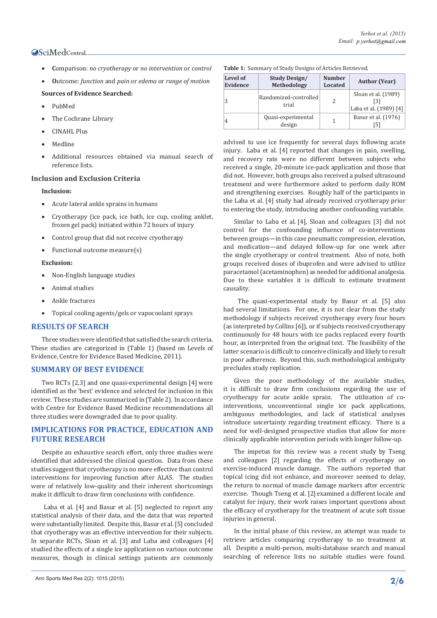#### **OSciMedCentral**

- **C**omparison: *no cryotherapy* or *no intervention* or *control*
- **O**utcome: *function* and *pain* or *edema* or *range of motion*

#### **Sources of Evidence Searched:**

- PubMed
- The Cochrane Library
- CINAHL Plus
- Medline
- Additional resources obtained via manual search of reference lists.

#### **Inclusion and Exclusion Criteria**

#### **Inclusion:**

- Acute lateral ankle sprains in humans
- Cryotherapy (ice pack, ice bath, ice cup, cooling anklet, frozen gel pack) initiated within 72 hours of injury
- Control group that did not receive cryotherapy
- Functional outcome measure(s)

#### **Exclusion:**

- Non-English language studies
- Animal studies
- Ankle fractures
- Topical cooling agents/gels or vapocoolant sprays

#### **RESULTS OF SEARCH**

Three studies were identified that satisfied the search criteria. These studies are categorized in (Table 1) (based on Levels of Evidence, Centre for Evidence Based Medicine, 2011).

#### **SUMMARY OF BEST EVIDENCE**

Two RCTs [2,3] and one quasi-experimental design [4] were identified as the 'best' evidence and selected for inclusion in this review. These studies are summarized in (Table 2). In accordance with Centre for Evidence Based Medicine recommendations all three studies were downgraded due to poor quality.

#### **IMPLICATIONS FOR PRACTICE, EDUCATION AND FUTURE RESEARCH**

Despite an exhaustive search effort, only three studies were identified that addressed the clinical question. Data from these studies suggest that cryotherapy is no more effective than control interventions for improving function after ALAS. The studies were of relatively low-quality and their inherent shortcomings make it difficult to draw firm conclusions with confidence.

 Laba et al. [4] and Basur et al. [5] neglected to report any statistical analysis of their data, and the data that was reported were substantially limited. Despite this, Basur et al. [5] concluded that cryotherapy was an effective intervention for their subjects. In separate RCTs, Sloan et al. [3] and Laba and colleagues [4] studied the effects of a single ice application on various outcome measures, though in clinical settings patients are commonly

| <b>Table 1:</b> Summary of Study Designs of Articles Retrieved. |  |
|-----------------------------------------------------------------|--|
|-----------------------------------------------------------------|--|

| Level of<br>Evidence | <b>Study Design/</b><br>Methodology | <b>Number</b><br><b>Located</b> | <b>Author</b> (Year)                                 |
|----------------------|-------------------------------------|---------------------------------|------------------------------------------------------|
|                      | Randomized-controlled<br>trial      | 2                               | Sloan et al. (1989)<br>[3]<br>Laba et al. (1989) [4] |
| 4                    | Quasi-experimental<br>design        |                                 | Basur et al. (1976)                                  |

advised to use ice frequently for several days following acute injury. Laba et al. [4] reported that changes in pain, swelling, and recovery rate were no different between subjects who received a single, 20-minute ice-pack application and those that did not. However, both groups also received a pulsed ultrasound treatment and were furthermore asked to perform daily ROM and strengthening exercises. Roughly half of the participants in the Laba et al. [4] study had already received cryotherapy prior to entering the study, introducing another confounding variable.

Similar to Laba et al. [4], Sloan and colleagues [3] did not control for the confounding influence of co-interventions between groups—in this case pneumatic compression, elevation, and medication—and delayed follow-up for one week after the single cryotherapy or control treatment. Also of note, both groups received doses of ibuprofen and were advised to utilize paracetamol (acetaminophen) as needed for additional analgesia. Due to these variables it is difficult to estimate treatment causality.

 The quasi-experimental study by Basur et al. [5] also had several limitations. For one, it is not clear from the study methodology if subjects received cryotherapy every four hours (as interpreted by Collins [6]), or if subjects received cryotherapy continuously for 48 hours with ice packs replaced every fourth hour, as interpreted from the original text. The feasibility of the latter scenario is difficult to conceive clinically and likely to result in poor adherence. Beyond this, such methodological ambiguity precludes study replication.

Given the poor methodology of the available studies, it is difficult to draw firm conclusions regarding the use of cryotherapy for acute ankle sprain. The utilization of cointerventions, unconventional single ice pack applications, ambiguous methodologies, and lack of statistical analyses introduce uncertainty regarding treatment efficacy. There is a need for well-designed prospective studies that allow for more clinically applicable intervention periods with longer follow-up.

The impetus for this review was a recent study by Tseng and colleagues [2] regarding the effects of cryotherapy on exercise-induced muscle damage. The authors reported that topical icing did not enhance, and moreover seemed to delay, the return to normal of muscle damage markers after eccentric exercise. Though Tseng et al. [2] examined a different locale and catalyst for injury, their work raises important questions about the efficacy of cryotherapy for the treatment of acute soft tissue injuries in general.

In the initial phase of this review, an attempt was made to retrieve articles comparing cryotherapy to no treatment at all. Despite a multi-person, multi-database search and manual searching of reference lists no suitable studies were found.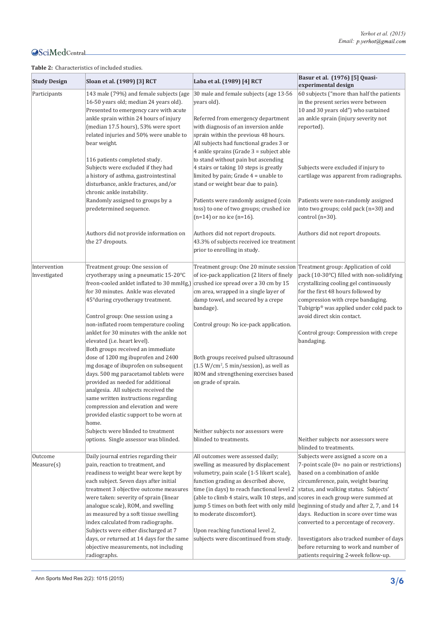### **OSciMedCentral**

#### **Table 2:** Characteristics of included studies.

| <b>Study Design</b>          | Sloan et al. (1989) [3] RCT                                                                                                                                                                                                                                                                                                                                                                                                                                                                                                                                                                                                                                                                                                          | Laba et al. (1989) [4] RCT                                                                                                                                                                                                                                                                                                                                                                                                                                        | Basur et al. (1976) [5] Quasi-<br>experimental design                                                                                                                                                                                                                                                                                                                              |
|------------------------------|--------------------------------------------------------------------------------------------------------------------------------------------------------------------------------------------------------------------------------------------------------------------------------------------------------------------------------------------------------------------------------------------------------------------------------------------------------------------------------------------------------------------------------------------------------------------------------------------------------------------------------------------------------------------------------------------------------------------------------------|-------------------------------------------------------------------------------------------------------------------------------------------------------------------------------------------------------------------------------------------------------------------------------------------------------------------------------------------------------------------------------------------------------------------------------------------------------------------|------------------------------------------------------------------------------------------------------------------------------------------------------------------------------------------------------------------------------------------------------------------------------------------------------------------------------------------------------------------------------------|
| Participants                 | 143 male (79%) and female subjects (age<br>16-50 years old; median 24 years old).<br>Presented to emergency care with acute<br>ankle sprain within 24 hours of injury<br>(median 17.5 hours), 53% were sport<br>related injuries and 50% were unable to<br>bear weight.<br>116 patients completed study.                                                                                                                                                                                                                                                                                                                                                                                                                             | 30 male and female subjects (age 13-56)<br>years old).<br>Referred from emergency department<br>with diagnosis of an inversion ankle<br>sprain within the previous 48 hours.<br>All subjects had functional grades 3 or<br>4 ankle sprains (Grade 3 = subject able<br>to stand without pain but ascending                                                                                                                                                         | 60 subjects ("more than half the patients<br>in the present series were between<br>10 and 30 years old") who sustained<br>an ankle sprain (injury severity not<br>reported).                                                                                                                                                                                                       |
|                              | Subjects were excluded if they had<br>a history of asthma, gastrointestinal<br>disturbance, ankle fractures, and/or<br>chronic ankle instability.                                                                                                                                                                                                                                                                                                                                                                                                                                                                                                                                                                                    | 4 stairs or taking 10 steps is greatly<br>limited by pain; Grade 4 = unable to<br>stand or weight bear due to pain).                                                                                                                                                                                                                                                                                                                                              | Subjects were excluded if injury to<br>cartilage was apparent from radiographs.                                                                                                                                                                                                                                                                                                    |
|                              | Randomly assigned to groups by a<br>predetermined sequence.                                                                                                                                                                                                                                                                                                                                                                                                                                                                                                                                                                                                                                                                          | Patients were randomly assigned (coin<br>toss) to one of two groups; crushed ice<br>$(n=14)$ or no ice $(n=16)$ .                                                                                                                                                                                                                                                                                                                                                 | Patients were non-randomly assigned<br>into two groups; cold pack (n=30) and<br>control $(n=30)$ .                                                                                                                                                                                                                                                                                 |
|                              | Authors did not provide information on<br>the 27 dropouts.                                                                                                                                                                                                                                                                                                                                                                                                                                                                                                                                                                                                                                                                           | Authors did not report dropouts.<br>43.3% of subjects received ice treatment<br>prior to enrolling in study.                                                                                                                                                                                                                                                                                                                                                      | Authors did not report dropouts.                                                                                                                                                                                                                                                                                                                                                   |
| Intervention<br>Investigated | Treatment group: One session of<br>cryotherapy using a pneumatic 15-20°C<br>freon-cooled anklet inflated to 30 mmHg.)<br>for 30 minutes. Ankle was elevated<br>45° during cryotherapy treatment.<br>Control group: One session using a<br>non-inflated room temperature cooling<br>anklet for 30 minutes with the ankle not<br>elevated (i.e. heart level).<br>Both groups received an immediate<br>dose of 1200 mg ibuprofen and 2400<br>mg dosage of ibuprofen on subsequent<br>days. 500 mg paracetamol tablets were<br>provided as needed for additional<br>analgesia. All subjects received the<br>same written instructions regarding<br>compression and elevation and were<br>provided elastic support to be worn at<br>home. | Treatment group: One 20 minute session Treatment group: Application of cold<br>of ice-pack application (2 liters of finely<br>crushed ice spread over a 30 cm by 15<br>cm area, wrapped in a single layer of<br>damp towel, and secured by a crepe<br>bandage).<br>Control group: No ice-pack application.<br>Both groups received pulsed ultrasound<br>$(1.5 W/cm2, 5 min/session)$ , as well as<br>ROM and strengthening exercises based<br>on grade of sprain. | pack (10-30°C) filled with non-solidifying<br>crystallizing cooling gel continuously<br>for the first 48 hours followed by<br>compression with crepe bandaging.<br>Tubigrip® was applied under cold pack to<br>avoid direct skin contact.<br>Control group: Compression with crepe<br>bandaging.                                                                                   |
|                              | Subjects were blinded to treatment<br>options. Single assessor was blinded.                                                                                                                                                                                                                                                                                                                                                                                                                                                                                                                                                                                                                                                          | Neither subjects nor assessors were<br>blinded to treatments.                                                                                                                                                                                                                                                                                                                                                                                                     | Neither subjects nor assessors were<br>blinded to treatments.                                                                                                                                                                                                                                                                                                                      |
| Outcome<br>Measure(s)        | Daily journal entries regarding their<br>pain, reaction to treatment, and<br>readiness to weight bear were kept by<br>each subject. Seven days after initial<br>treatment 3 objective outcome measures<br>were taken: severity of sprain (linear<br>analogue scale), ROM, and swelling<br>as measured by a soft tissue swelling<br>index calculated from radiographs.<br>Subjects were either discharged at 7<br>days, or returned at 14 days for the same                                                                                                                                                                                                                                                                           | All outcomes were assessed daily;<br>swelling as measured by displacement<br>volumetry, pain scale (1-5 likert scale),<br>function grading as described above,<br>time (in days) to reach functional level 2<br>(able to climb 4 stairs, walk 10 steps, and scores in each group were summed at<br>jump 5 times on both feet with only mild<br>to moderate discomfort).<br>Upon reaching functional level 2,<br>subjects were discontinued from study.            | Subjects were assigned a score on a<br>7-point scale (0= no pain or restrictions)<br>based on a combination of ankle<br>circumference, pain, weight bearing<br>status, and walking status. Subjects'<br>beginning of study and after 2, 7, and 14<br>days. Reduction in score over time was<br>converted to a percentage of recovery.<br>Investigators also tracked number of days |
|                              | objective measurements, not including<br>radiographs.                                                                                                                                                                                                                                                                                                                                                                                                                                                                                                                                                                                                                                                                                |                                                                                                                                                                                                                                                                                                                                                                                                                                                                   | before returning to work and number of<br>patients requiring 2-week follow-up.                                                                                                                                                                                                                                                                                                     |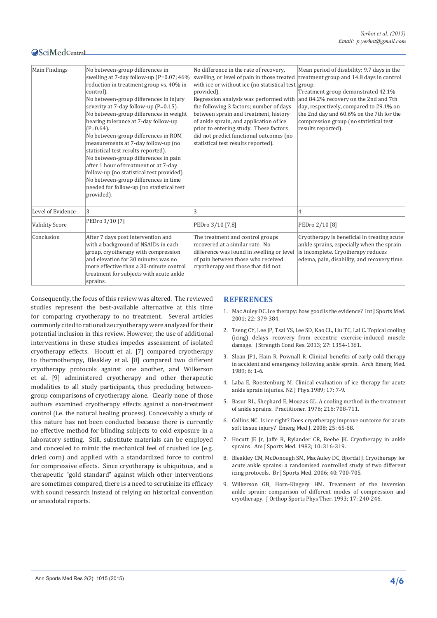#### **OSciMedCentral**

| <b>Main Findings</b>  | No between-group differences in<br>swelling at 7-day follow-up (P=0.07; 46%<br>reduction in treatment group vs. 40% in<br>control).<br>No between-group differences in injury<br>severity at 7-day follow-up (P=0.15).<br>No between-group differences in weight<br>bearing tolerance at 7-day follow-up<br>$(P=0.64)$ .<br>No between-group differences in ROM<br>measurements at 7-day follow-up (no<br>statistical test results reported).<br>No between-group differences in pain<br>after 1 hour of treatment or at 7-day<br>follow-up (no statistical test provided).<br>No between-group differences in time<br>needed for follow-up (no statistical test<br>provided). | No difference in the rate of recovery.<br>swelling, or level of pain in those treated<br>with ice or without ice (no statistical test group.<br>provided).<br>Regression analysis was performed with<br>the following 3 factors; number of days<br>between sprain and treatment, history<br>of ankle sprain, and application of ice<br>prior to entering study. These factors<br>did not predict functional outcomes (no<br>statistical test results reported). | Mean period of disability: 9.7 days in the<br>treatment group and 14.8 days in control<br>Treatment group demonstrated 42.1%<br>and 84.2% recovery on the 2nd and 7th<br>day, respectively, compared to 29.1% on<br>the 2nd day and 60.6% on the 7th for the<br>compression group (no statistical test<br>results reported). |
|-----------------------|--------------------------------------------------------------------------------------------------------------------------------------------------------------------------------------------------------------------------------------------------------------------------------------------------------------------------------------------------------------------------------------------------------------------------------------------------------------------------------------------------------------------------------------------------------------------------------------------------------------------------------------------------------------------------------|-----------------------------------------------------------------------------------------------------------------------------------------------------------------------------------------------------------------------------------------------------------------------------------------------------------------------------------------------------------------------------------------------------------------------------------------------------------------|------------------------------------------------------------------------------------------------------------------------------------------------------------------------------------------------------------------------------------------------------------------------------------------------------------------------------|
| Level of Evidence     | 3                                                                                                                                                                                                                                                                                                                                                                                                                                                                                                                                                                                                                                                                              | 3                                                                                                                                                                                                                                                                                                                                                                                                                                                               | 4                                                                                                                                                                                                                                                                                                                            |
| <b>Validity Score</b> | PEDro 3/10 [7]                                                                                                                                                                                                                                                                                                                                                                                                                                                                                                                                                                                                                                                                 | PEDro 3/10 [7,8]                                                                                                                                                                                                                                                                                                                                                                                                                                                | PEDro 2/10 [8]                                                                                                                                                                                                                                                                                                               |
| Conclusion            | After 7 days post intervention and<br>with a background of NSAIDs in each<br>group, cryotherapy with compression<br>and elevation for 30 minutes was no<br>more effective than a 30-minute control<br>treatment for subjects with acute ankle<br>sprains.                                                                                                                                                                                                                                                                                                                                                                                                                      | The treatment and control groups<br>recovered at a similar rate. No<br>difference was found in swelling or level<br>of pain between those who received<br>cryotherapy and those that did not.                                                                                                                                                                                                                                                                   | Cryotherapy is beneficial in treating acute<br>ankle sprains, especially when the sprain<br>is incomplete. Cryotherapy reduces<br>edema, pain, disability, and recovery time.                                                                                                                                                |

Consequently, the focus of this review was altered. The reviewed studies represent the best-available alternative at this time for comparing cryotherapy to no treatment. Several articles commonly cited to rationalize cryotherapy were analyzed for their potential inclusion in this review. However, the use of additional interventions in these studies impedes assessment of isolated cryotherapy effects. Hocutt et al. [7] compared cryotherapy to thermotherapy, Bleakley et al. [8] compared two different cryotherapy protocols against one another, and Wilkerson et al. [9] administered cryotherapy and other therapeutic modalities to all study participants, thus precluding betweengroup comparisons of cryotherapy alone. Clearly none of those authors examined cryotherapy effects against a non-treatment control (i.e. the natural healing process). Conceivably a study of this nature has not been conducted because there is currently no effective method for blinding subjects to cold exposure in a laboratory setting. Still, substitute materials can be employed and concealed to mimic the mechanical feel of crushed ice (e.g. dried corn) and applied with a standardized force to control for compressive effects. Since cryotherapy is ubiquitous, and a therapeutic "gold standard" against which other interventions are sometimes compared, there is a need to scrutinize its efficacy with sound research instead of relying on historical convention or anecdotal reports.

#### **REFERENCES**

- 1. [Mac Auley DC. Ice therapy: how good is the evidence? Int J Sports Med.](http://www.ncbi.nlm.nih.gov/pubmed/11510876)  [2001; 22: 379-384.](http://www.ncbi.nlm.nih.gov/pubmed/11510876)
- 2. [Tseng CY, Lee JP, Tsai YS, Lee SD, Kao CL, Liu TC, Lai C. Topical cooling](http://www.ncbi.nlm.nih.gov/pubmed/22820210)  [\(icing\) delays recovery from eccentric exercise-induced muscle](http://www.ncbi.nlm.nih.gov/pubmed/22820210)  [damage. J Strength Cond Res. 2013; 27: 1354-1361.](http://www.ncbi.nlm.nih.gov/pubmed/22820210)
- 3. [Sloan JP1, Hain R, Pownall R. Clinical benefits of early cold therapy](http://www.ncbi.nlm.nih.gov/pubmed/2712981)  [in accident and emergency following ankle sprain. Arch Emerg Med.](http://www.ncbi.nlm.nih.gov/pubmed/2712981)  [1989; 6: 1-6.](http://www.ncbi.nlm.nih.gov/pubmed/2712981)
- 4. Laba E, Roestenburg M. Clinical evaluation of ice therapy for acute ankle sprain injuries. NZ J Phys.1989; 17: 7-9.
- 5. [Basur RL, Shephard E, Mouzas GL. A cooling method in the treatment](http://www.ncbi.nlm.nih.gov/pubmed/821050)  [of ankle sprains. Practitioner. 1976; 216: 708-711.](http://www.ncbi.nlm.nih.gov/pubmed/821050)
- 6. [Collins NC. Is ice right? Does cryotherapy improve outcome for acute](http://www.ncbi.nlm.nih.gov/pubmed/18212134)  [soft tissue injury? Emerg Med J. 2008; 25: 65-68.](http://www.ncbi.nlm.nih.gov/pubmed/18212134)
- 7. [Hocutt JE Jr, Jaffe R, Rylander CR, Beebe JK. Cryotherapy in ankle](http://www.ncbi.nlm.nih.gov/pubmed/6814272)  [sprains. Am J Sports Med. 1982; 10: 316-319.](http://www.ncbi.nlm.nih.gov/pubmed/6814272)
- 8. [Bleakley CM, McDonough SM, MacAuley DC, Bjordal J. Cryotherapy for](http://www.ncbi.nlm.nih.gov/pubmed/16611722)  [acute ankle sprains: a randomised controlled study of two different](http://www.ncbi.nlm.nih.gov/pubmed/16611722)  [icing protocols. Br J Sports Med. 2006; 40: 700-705.](http://www.ncbi.nlm.nih.gov/pubmed/16611722)
- 9. [Wilkerson GB, Horn-Kingery HM. Treatment of the inversion](http://www.ncbi.nlm.nih.gov/pubmed/8343781)  [ankle sprain: comparison of different modes of compression and](http://www.ncbi.nlm.nih.gov/pubmed/8343781)  [cryotherapy. J Orthop Sports Phys Ther. 1993; 17: 240-246.](http://www.ncbi.nlm.nih.gov/pubmed/8343781)